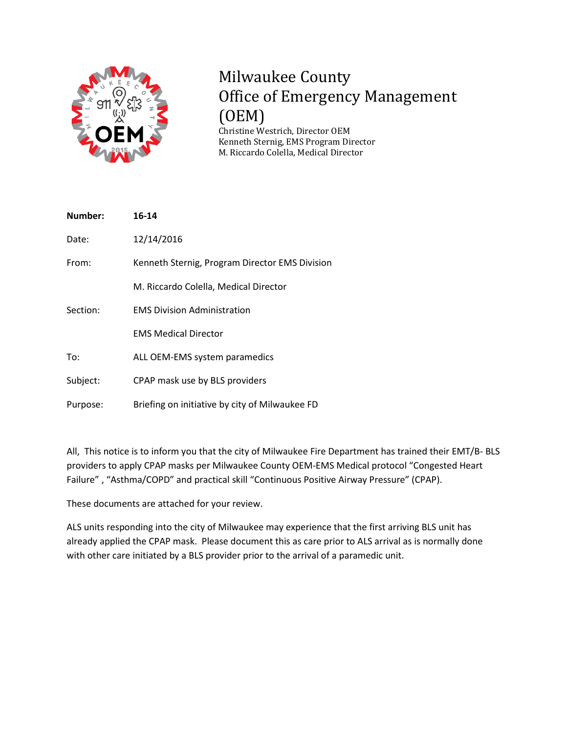

## Milwaukee County Office of Emergency Management (OEM)

Christine Westrich, Director OEM Kenneth Sternig, EMS Program Director M. Riccardo Colella, Medical Director

| 16-14                                          |
|------------------------------------------------|
| 12/14/2016                                     |
| Kenneth Sternig, Program Director EMS Division |
| M. Riccardo Colella, Medical Director          |
| <b>EMS Division Administration</b>             |
| <b>EMS Medical Director</b>                    |
| ALL OEM-EMS system paramedics                  |
| CPAP mask use by BLS providers                 |
| Briefing on initiative by city of Milwaukee FD |
|                                                |

All, This notice is to inform you that the city of Milwaukee Fire Department has trained their EMT/B- BLS providers to apply CPAP masks per Milwaukee County OEM-EMS Medical protocol "Congested Heart Failure" , "Asthma/COPD" and practical skill "Continuous Positive Airway Pressure" (CPAP).

These documents are attached for your review.

ALS units responding into the city of Milwaukee may experience that the first arriving BLS unit has already applied the CPAP mask. Please document this as care prior to ALS arrival as is normally done with other care initiated by a BLS provider prior to the arrival of a paramedic unit.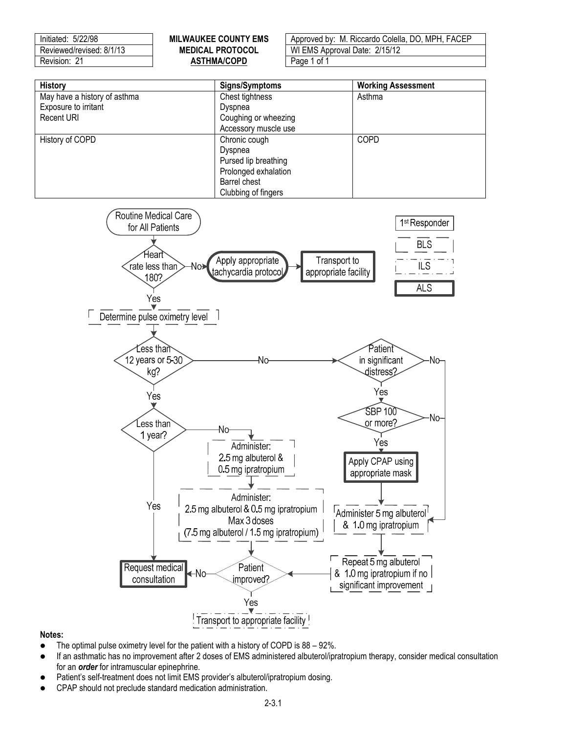

- The optimal pulse oximetry level for the patient with a history of COPD is 88 92%.
- If an asthmatic has no improvement after 2 doses of EMS administered albuterol/ipratropium therapy, consider medical consultation for an *order* for intramuscular epinephrine.
- Patient's self-treatment does not limit EMS provider's albuterol/ipratropium dosing.
- CPAP should not preclude standard medication administration.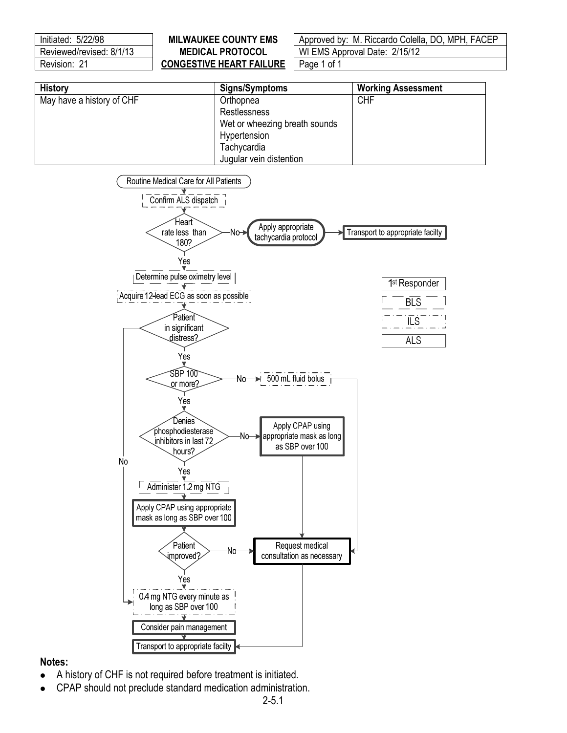| Initiated: 5/22/98       |  |  |  |  |  |
|--------------------------|--|--|--|--|--|
| Reviewed/revised: 8/1/13 |  |  |  |  |  |
| Revision: 21             |  |  |  |  |  |

## **CONGESTIVE HEART FAILURE** | Page 1 of 1

**MILWAUKEE COUNTY EMS** | Approved by: M. Riccardo Colella, DO, MPH, FACEP **MEDICAL PROTOCOL | WI EMS Approval Date: 2/15/12** 

| <b>History</b>            | Signs/Symptoms                | <b>Working Assessment</b> |
|---------------------------|-------------------------------|---------------------------|
| May have a history of CHF | Orthopnea                     | <b>CHF</b>                |
|                           | Restlessness                  |                           |
|                           | Wet or wheezing breath sounds |                           |
|                           | Hypertension                  |                           |
|                           | Tachycardia                   |                           |
|                           | Jugular vein distention       |                           |



## **Notes:**

- A history of CHF is not required before treatment is initiated.
- CPAP should not preclude standard medication administration.